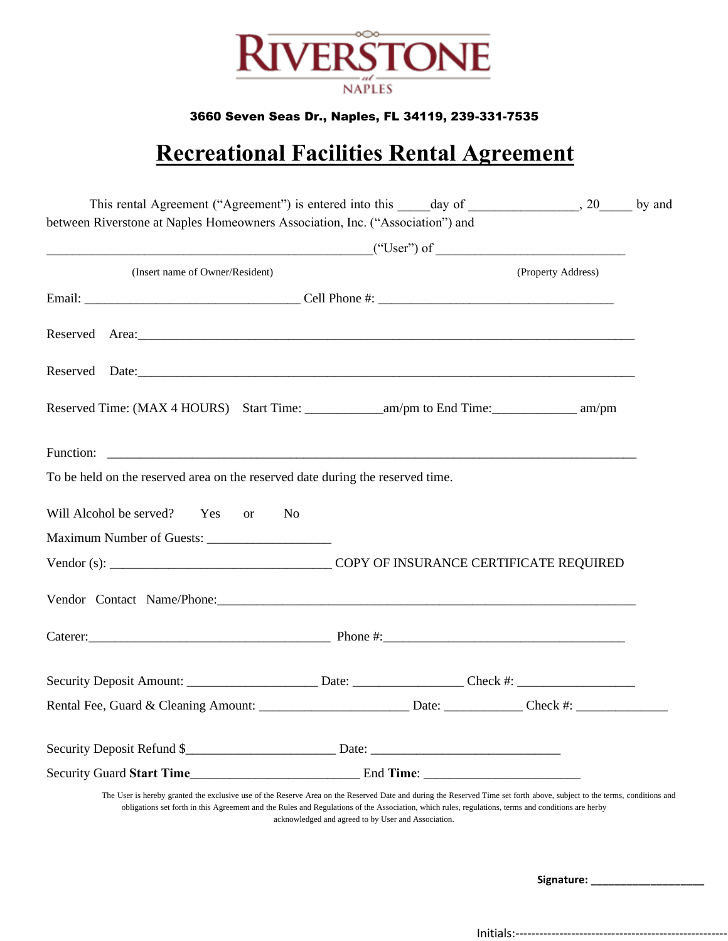

#### 3660 Seven Seas Dr., Naples, FL 34119, 239-331-7535

## **Recreational Facilities Rental Agreement**

| (Insert name of Owner/Resident)                                                                                                                                                                                                                                                                                                |                                                     |  | (Property Address) |  |
|--------------------------------------------------------------------------------------------------------------------------------------------------------------------------------------------------------------------------------------------------------------------------------------------------------------------------------|-----------------------------------------------------|--|--------------------|--|
|                                                                                                                                                                                                                                                                                                                                |                                                     |  |                    |  |
|                                                                                                                                                                                                                                                                                                                                |                                                     |  |                    |  |
|                                                                                                                                                                                                                                                                                                                                |                                                     |  |                    |  |
|                                                                                                                                                                                                                                                                                                                                |                                                     |  |                    |  |
|                                                                                                                                                                                                                                                                                                                                |                                                     |  |                    |  |
| To be held on the reserved area on the reserved date during the reserved time.                                                                                                                                                                                                                                                 |                                                     |  |                    |  |
| Will Alcohol be served? Yes or                                                                                                                                                                                                                                                                                                 | N <sub>0</sub>                                      |  |                    |  |
|                                                                                                                                                                                                                                                                                                                                |                                                     |  |                    |  |
|                                                                                                                                                                                                                                                                                                                                |                                                     |  |                    |  |
|                                                                                                                                                                                                                                                                                                                                |                                                     |  |                    |  |
|                                                                                                                                                                                                                                                                                                                                |                                                     |  |                    |  |
|                                                                                                                                                                                                                                                                                                                                |                                                     |  |                    |  |
|                                                                                                                                                                                                                                                                                                                                |                                                     |  |                    |  |
|                                                                                                                                                                                                                                                                                                                                |                                                     |  |                    |  |
|                                                                                                                                                                                                                                                                                                                                |                                                     |  |                    |  |
|                                                                                                                                                                                                                                                                                                                                |                                                     |  |                    |  |
| The User is hereby granted the exclusive use of the Reserve Area on the Reserved Date and during the Reserved Time set forth above, subject to the terms, conditions and<br>obligations set forth in this Agreement and the Rules and Regulations of the Association, which rules, regulations, terms and conditions are herby | acknowledged and agreed to by User and Association. |  |                    |  |
|                                                                                                                                                                                                                                                                                                                                |                                                     |  |                    |  |

Initials:-----------------------------------------------------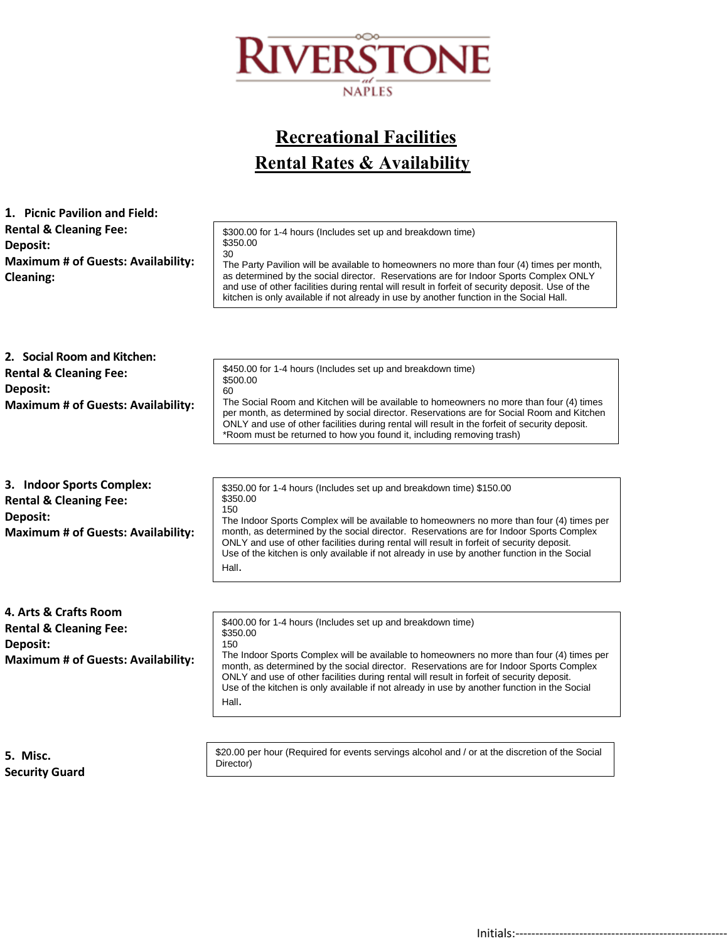

## **Recreational Facilities Rental Rates & Availability**

| 1. Picnic Pavilion and Field:                                                                                           |                                                                                                                                                                                                                                                                                                                                                                                                                                                                                        |
|-------------------------------------------------------------------------------------------------------------------------|----------------------------------------------------------------------------------------------------------------------------------------------------------------------------------------------------------------------------------------------------------------------------------------------------------------------------------------------------------------------------------------------------------------------------------------------------------------------------------------|
| <b>Rental &amp; Cleaning Fee:</b><br>Deposit:<br><b>Maximum # of Guests: Availability:</b><br><b>Cleaning:</b>          | \$300.00 for 1-4 hours (Includes set up and breakdown time)<br>\$350.00<br>30<br>The Party Pavilion will be available to homeowners no more than four (4) times per month,<br>as determined by the social director. Reservations are for Indoor Sports Complex ONLY<br>and use of other facilities during rental will result in forfeit of security deposit. Use of the<br>kitchen is only available if not already in use by another function in the Social Hall.                     |
| 2. Social Room and Kitchen:                                                                                             |                                                                                                                                                                                                                                                                                                                                                                                                                                                                                        |
| <b>Rental &amp; Cleaning Fee:</b>                                                                                       | \$450.00 for 1-4 hours (Includes set up and breakdown time)<br>\$500.00                                                                                                                                                                                                                                                                                                                                                                                                                |
| Deposit:<br><b>Maximum # of Guests: Availability:</b>                                                                   | 60<br>The Social Room and Kitchen will be available to homeowners no more than four (4) times<br>per month, as determined by social director. Reservations are for Social Room and Kitchen<br>ONLY and use of other facilities during rental will result in the forfeit of security deposit.<br>*Room must be returned to how you found it, including removing trash)                                                                                                                  |
|                                                                                                                         |                                                                                                                                                                                                                                                                                                                                                                                                                                                                                        |
| 3. Indoor Sports Complex:<br><b>Rental &amp; Cleaning Fee:</b><br>Deposit:<br><b>Maximum # of Guests: Availability:</b> | \$350.00 for 1-4 hours (Includes set up and breakdown time) \$150.00<br>\$350.00<br>150<br>The Indoor Sports Complex will be available to homeowners no more than four (4) times per<br>month, as determined by the social director. Reservations are for Indoor Sports Complex<br>ONLY and use of other facilities during rental will result in forfeit of security deposit.<br>Use of the kitchen is only available if not already in use by another function in the Social<br>Hall. |
|                                                                                                                         |                                                                                                                                                                                                                                                                                                                                                                                                                                                                                        |
| 4. Arts & Crafts Room<br><b>Rental &amp; Cleaning Fee:</b><br>Deposit:<br><b>Maximum # of Guests: Availability:</b>     | \$400.00 for 1-4 hours (Includes set up and breakdown time)<br>\$350.00<br>150<br>The Indoor Sports Complex will be available to homeowners no more than four (4) times per<br>month, as determined by the social director. Reservations are for Indoor Sports Complex<br>ONLY and use of other facilities during rental will result in forfeit of security deposit.<br>Use of the kitchen is only available if not already in use by another function in the Social<br>Hall.          |
|                                                                                                                         |                                                                                                                                                                                                                                                                                                                                                                                                                                                                                        |

**5. Misc. Security Guard** \$20.00 per hour (Required for events servings alcohol and / or at the discretion of the Social Director)

Initials:-----------------------------------------------------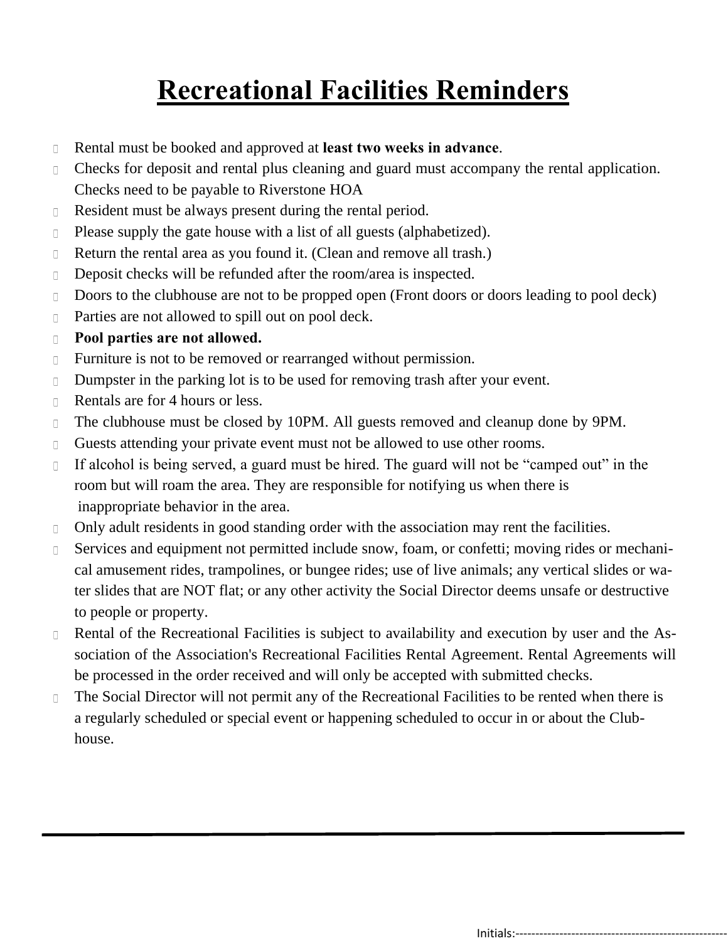# **Recreational Facilities Reminders**

- Rental must be booked and approved at **least two weeks in advance**.  $\Box$
- Checks for deposit and rental plus cleaning and guard must accompany the rental application.  $\Box$ Checks need to be payable to Riverstone HOA
- Resident must be always present during the rental period.  $\Box$
- Please supply the gate house with a list of all guests (alphabetized).  $\Box$
- Return the rental area as you found it. (Clean and remove all trash.)  $\Box$
- Deposit checks will be refunded after the room/area is inspected.  $\Box$
- Doors to the clubhouse are not to be propped open (Front doors or doors leading to pool deck)  $\Box$
- Parties are not allowed to spill out on pool deck.  $\Box$
- **Pool parties are not allowed.**  $\Box$
- Furniture is not to be removed or rearranged without permission.  $\Box$
- Dumpster in the parking lot is to be used for removing trash after your event.  $\Box$
- Rentals are for 4 hours or less.  $\Box$
- The clubhouse must be closed by 10PM. All guests removed and cleanup done by 9PM.  $\Box$
- Guests attending your private event must not be allowed to use other rooms.  $\Box$
- If alcohol is being served, a guard must be hired. The guard will not be "camped out" in the  $\Box$ room but will roam the area. They are responsible for notifying us when there is inappropriate behavior in the area.
- Only adult residents in good standing order with the association may rent the facilities.  $\Box$
- $\Box$ Services and equipment not permitted include snow, foam, or confetti; moving rides or mechanical amusement rides, trampolines, or bungee rides; use of live animals; any vertical slides or water slides that are NOT flat; or any other activity the Social Director deems unsafe or destructive to people or property.
- Rental of the Recreational Facilities is subject to availability and execution by user and the As- $\Box$ sociation of the Association's Recreational Facilities Rental Agreement. Rental Agreements will be processed in the order received and will only be accepted with submitted checks.
- The Social Director will not permit any of the Recreational Facilities to be rented when there is  $\Box$ a regularly scheduled or special event or happening scheduled to occur in or about the Clubhouse.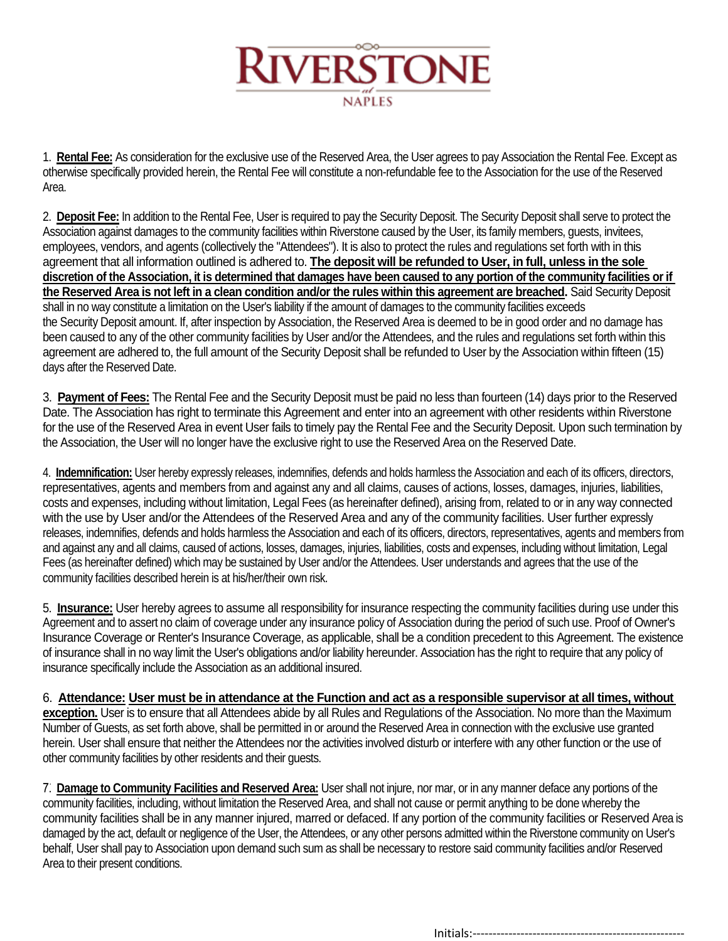

1. **Rental Fee:** As consideration for the exclusive use of the Reserved Area, the User agrees to pay Association the Rental Fee. Except as otherwise specifically provided herein, the Rental Fee will constitute a non-refundable fee to the Association for the use of the Reserved Area.

2. **Deposit Fee:** In addition to the Rental Fee, User is required to pay the Security Deposit. The Security Deposit shall serve to protect the Association against damages to the community facilities within Riverstone caused by the User, its family members, guests, invitees, employees, vendors, and agents (collectively the "Attendees"). It is also to protect the rules and regulations set forth with in this agreement that all information outlined is adhered to. **The deposit will be refunded to User, in full, unless in the sole discretion of the Association, it is determined that damages have been caused to any portion of the community facilities or if the Reserved Area is not left in a clean condition and/or the rules within this agreement are breached.** Said Security Deposit shall in no way constitute a limitation on the User's liability if the amount of damages to the community facilities exceeds the Security Deposit amount. If, after inspection by Association, the Reserved Area is deemed to be in good order and no damage has been caused to any of the other community facilities by User and/or the Attendees, and the rules and regulations set forth within this agreement are adhered to, the full amount of the Security Deposit shall be refunded to User by the Association within fifteen (15) days after the Reserved Date.

3. **Payment of Fees:** The Rental Fee and the Security Deposit must be paid no less than fourteen (14) days prior to the Reserved Date. The Association has right to terminate this Agreement and enter into an agreement with other residents within Riverstone for the use of the Reserved Area in event User fails to timely pay the Rental Fee and the Security Deposit. Upon such termination by the Association, the User will no longer have the exclusive right to use the Reserved Area on the Reserved Date.

4. **Indemnification:** User hereby expressly releases, indemnifies, defends and holds harmless the Association and each of its officers, directors, representatives, agents and members from and against any and all claims, causes of actions, losses, damages, injuries, liabilities, costs and expenses, including without limitation, Legal Fees (as hereinafter defined), arising from, related to or in any way connected with the use by User and/or the Attendees of the Reserved Area and any of the community facilities. User further expressly releases, indemnifies, defends and holds harmless the Association and each of its officers, directors, representatives, agents and members from and against any and all claims, caused of actions, losses, damages, injuries, liabilities, costs and expenses, including without limitation, Legal Fees (as hereinafter defined) which may be sustained by User and/or the Attendees. User understands and agrees that the use of the community facilities described herein is at his/her/their own risk.

5. **Insurance:** User hereby agrees to assume all responsibility for insurance respecting the community facilities during use under this Agreement and to assert no claim of coverage under any insurance policy of Association during the period of such use. Proof of Owner's Insurance Coverage or Renter's Insurance Coverage, as applicable, shall be a condition precedent to this Agreement. The existence of insurance shall in no way limit the User's obligations and/or liability hereunder. Association has the right to require that any policy of insurance specifically include the Association as an additional insured.

6. **Attendance: User must be in attendance at the Function and act as a responsible supervisor at all times, without exception.** User is to ensure that all Attendees abide by all Rules and Regulations of the Association. No more than the Maximum Number of Guests, as set forth above, shall be permitted in or around the Reserved Area in connection with the exclusive use granted herein. User shall ensure that neither the Attendees nor the activities involved disturb or interfere with any other function or the use of other community facilities by other residents and their guests.

7͘. **Damage to Community Facilities and Reserved Area:** User shall not injure, nor mar, or in any manner deface any portions of the community facilities, including, without limitation the Reserved Area, and shall not cause or permit anything to be done whereby the community facilities shall be in any manner injured, marred or defaced. If any portion of the community facilities or Reserved Area is damaged by the act, default or negligence of the User, the Attendees, or any other persons admitted within the Riverstone community on User's behalf, User shall pay to Association upon demand such sum as shall be necessary to restore said community facilities and/or Reserved Area to their present conditions.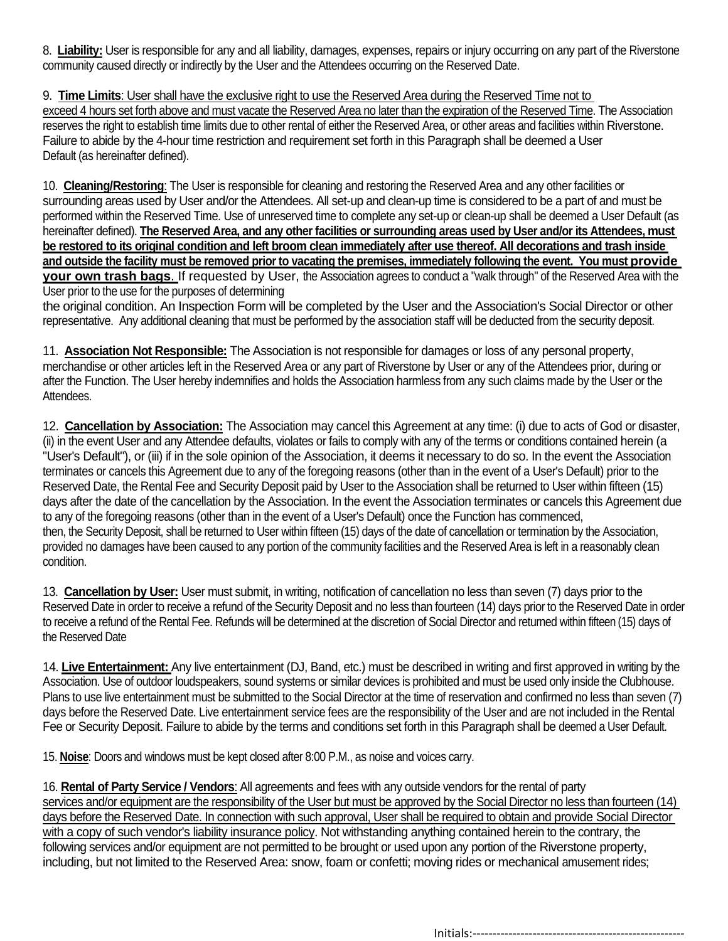8. **Liability:** User is responsible for any and all liability, damages, expenses, repairs or injury occurring on any part of the Riverstone community caused directly or indirectly by the User and the Attendees occurring on the Reserved Date.

9. **Time Limits**: User shall have the exclusive right to use the Reserved Area during the Reserved Time not to exceed 4 hours set forth above and must vacate the Reserved Area no later than the expiration of the Reserved Time. The Association reserves the right to establish time limits due to other rental of either the Reserved Area, or other areas and facilities within Riverstone. Failure to abide by the 4-hour time restriction and requirement set forth in this Paragraph shall be deemed a User Default (as hereinafter defined).

10. **Cleaning/Restoring**: The User is responsible for cleaning and restoring the Reserved Area and any other facilities or surrounding areas used by User and/or the Attendees. All set-up and clean-up time is considered to be a part of and must be performed within the Reserved Time. Use of unreserved time to complete any set-up or clean-up shall be deemed a User Default (as hereinafter defined). **The Reserved Area, and any other facilities or surrounding areas used by User and/or its Attendees, must be restored to its original condition and left broom clean immediately after use thereof. All decorations and trash inside and outside the facility must be removed prior to vacating the premises, immediately following the event. You must provide your own trash bags**. If requested by User, the Association agrees to conduct a "walk through" of the Reserved Area with the User prior to the use for the purposes of determining

the original condition. An Inspection Form will be completed by the User and the Association's Social Director or other representative. Any additional cleaning that must be performed by the association staff will be deducted from the security deposit.

11. **Association Not Responsible:** The Association is not responsible for damages or loss of any personal property, merchandise or other articles left in the Reserved Area or any part of Riverstone by User or any of the Attendees prior, during or after the Function. The User hereby indemnifies and holds the Association harmless from any such claims made by the User or the Attendees.

12. **Cancellation by Association:** The Association may cancel this Agreement at any time: (i) due to acts of God or disaster, (ii) in the event User and any Attendee defaults, violates or fails to comply with any of the terms or conditions contained herein (a "User's Default"), or (iii) if in the sole opinion of the Association, it deems it necessary to do so. In the event the Association terminates or cancels this Agreement due to any of the foregoing reasons (other than in the event of a User's Default) prior to the Reserved Date, the Rental Fee and Security Deposit paid by User to the Association shall be returned to User within fifteen (15) days after the date of the cancellation by the Association. In the event the Association terminates or cancels this Agreement due to any of the foregoing reasons (other than in the event of a User's Default) once the Function has commenced, then, the Security Deposit, shall be returned to User within fifteen (15) days of the date of cancellation or termination by the Association, provided no damages have been caused to any portion of the community facilities and the Reserved Area is left in a reasonably clean condition.

13. **Cancellation by User:** User must submit, in writing, notification of cancellation no less than seven (7) days prior to the Reserved Date in order to receive a refund of the Security Deposit and no less than fourteen (14) days prior to the Reserved Date in order to receive a refund of the Rental Fee. Refunds will be determined at the discretion of Social Director and returned within fifteen (15) days of the Reserved Date

14. **Live Entertainment:** Any live entertainment (DJ, Band, etc.) must be described in writing and first approved in writing by the Association. Use of outdoor loudspeakers, sound systems or similar devices is prohibited and must be used only inside the Clubhouse. Plans to use live entertainment must be submitted to the Social Director at the time of reservation and confirmed no less than seven (7) days before the Reserved Date. Live entertainment service fees are the responsibility of the User and are not included in the Rental Fee or Security Deposit. Failure to abide by the terms and conditions set forth in this Paragraph shall be deemed a User Default.

15. **Noise**: Doors and windows must be kept closed after 8:00 P.M., as noise and voices carry.

16. **Rental of Party Service / Vendors**: All agreements and fees with any outside vendors for the rental of party services and/or equipment are the responsibility of the User but must be approved by the Social Director no less than fourteen (14) days before the Reserved Date. In connection with such approval, User shall be required to obtain and provide Social Director with a copy of such vendor's liability insurance policy. Not withstanding anything contained herein to the contrary, the following services and/or equipment are not permitted to be brought or used upon any portion of the Riverstone property, including, but not limited to the Reserved Area: snow, foam or confetti; moving rides or mechanical amusement rides;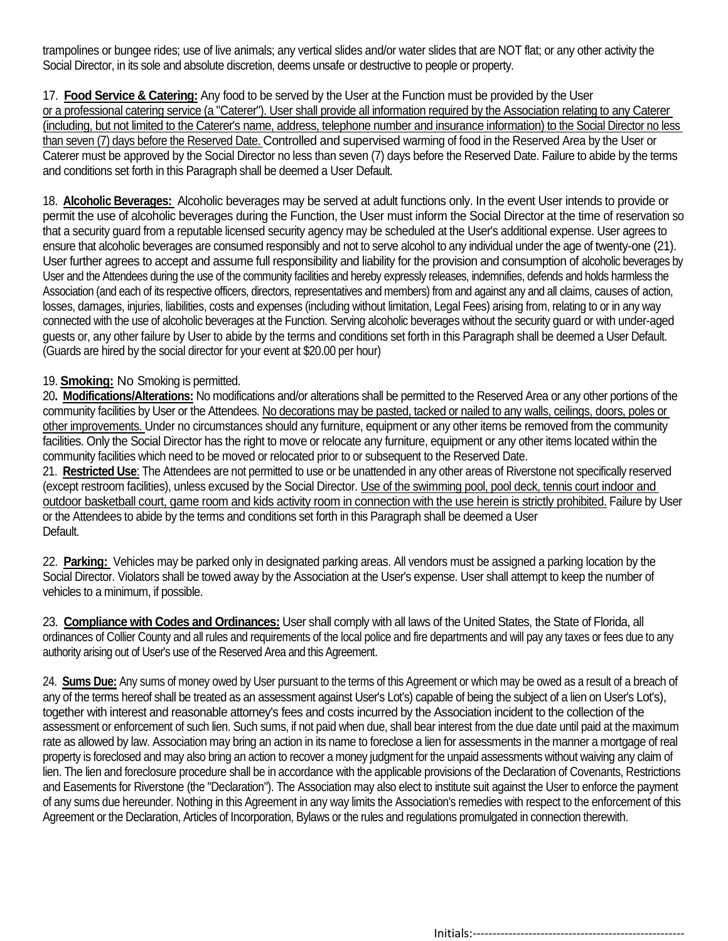trampolines or bungee rides; use of live animals; any vertical slides and/or water slides that are NOT flat; or any other activity the Social Director, in its sole and absolute discretion, deems unsafe or destructive to people or property.

17. **Food Service & Catering:** Any food to be served by the User at the Function must be provided by the User or a professional catering service (a "Caterer"). User shall provide all information required by the Association relating to any Caterer (including, but not limited to the Caterer's name, address, telephone number and insurance information) to the Social Director no less than seven (7) days before the Reserved Date. Controlled and supervised warming of food in the Reserved Area by the User or Caterer must be approved by the Social Director no less than seven (7) days before the Reserved Date. Failure to abide by the terms and conditions set forth in this Paragraph shall be deemed a User Default.

18. **Alcoholic Beverages:** Alcoholic beverages may be served at adult functions only. In the event User intends to provide or permit the use of alcoholic beverages during the Function, the User must inform the Social Director at the time of reservation so that a security guard from a reputable licensed security agency may be scheduled at the User's additional expense. User agrees to ensure that alcoholic beverages are consumed responsibly and not to serve alcohol to any individual under the age of twenty-one (21). User further agrees to accept and assume full responsibility and liability for the provision and consumption of alcoholic beverages by User and the Attendees during the use of the community facilities and hereby expressly releases, indemnifies, defends and holds harmless the Association (and each of its respective officers, directors, representatives and members) from and against any and all claims, causes of action, losses, damages, injuries, liabilities, costs and expenses (including without limitation, Legal Fees) arising from, relating to or in any way connected with the use of alcoholic beverages at the Function. Serving alcoholic beverages without the security guard or with under-aged guests or, any other failure by User to abide by the terms and conditions set forth in this Paragraph shall be deemed a User Default. (Guards are hired by the social director for your event at \$20.00 per hour)

#### 19. **Smoking:** No Smoking is permitted.

20**. Modifications/Alterations:** No modifications and/or alterations shall be permitted to the Reserved Area or any other portions of the community facilities by User or the Attendees. No decorations may be pasted, tacked or nailed to any walls, ceilings, doors, poles or other improvements. Under no circumstances should any furniture, equipment or any other items be removed from the community facilities. Only the Social Director has the right to move or relocate any furniture, equipment or any other items located within the community facilities which need to be moved or relocated prior to or subsequent to the Reserved Date.

21. **Restricted Use**: The Attendees are not permitted to use or be unattended in any other areas of Riverstone not specifically reserved (except restroom facilities), unless excused by the Social Director. Use of the swimming pool, pool deck, tennis court indoor and outdoor basketball court, game room and kids activity room in connection with the use herein is strictly prohibited. Failure by User or the Attendees to abide by the terms and conditions set forth in this Paragraph shall be deemed a User Default.

22. **Parking:** Vehicles may be parked only in designated parking areas. All vendors must be assigned a parking location by the Social Director. Violators shall be towed away by the Association at the User's expense. User shall attempt to keep the number of vehicles to a minimum, if possible.

23. **Compliance with Codes and Ordinances:** User shall comply with all laws of the United States, the State of Florida, all ordinances of Collier County and all rules and requirements of the local police and fire departments and will pay any taxes or fees due to any authority arising out of User's use of the Reserved Area and this Agreement.

24. **Sums Due:** Any sums of money owed by User pursuant to the terms of this Agreement or which may be owed as a result of a breach of any of the terms hereof shall be treated as an assessment against User's Lot's) capable of being the subject of a lien on User's Lot's), together with interest and reasonable attorney's fees and costs incurred by the Association incident to the collection of the assessment or enforcement of such lien. Such sums, if not paid when due, shall bear interest from the due date until paid at the maximum rate as allowed by law. Association may bring an action in its name to foreclose a lien for assessments in the manner a mortgage of real property is foreclosed and may also bring an action to recover a money judgment for the unpaid assessments without waiving any claim of lien. The lien and foreclosure procedure shall be in accordance with the applicable provisions of the Declaration of Covenants, Restrictions and Easements for Riverstone (the "Declaration"). The Association may also elect to institute suit against the User to enforce the payment of any sums due hereunder. Nothing in this Agreement in any way limits the Association's remedies with respect to the enforcement of this Agreement or the Declaration, Articles of Incorporation, Bylaws or the rules and regulations promulgated in connection therewith.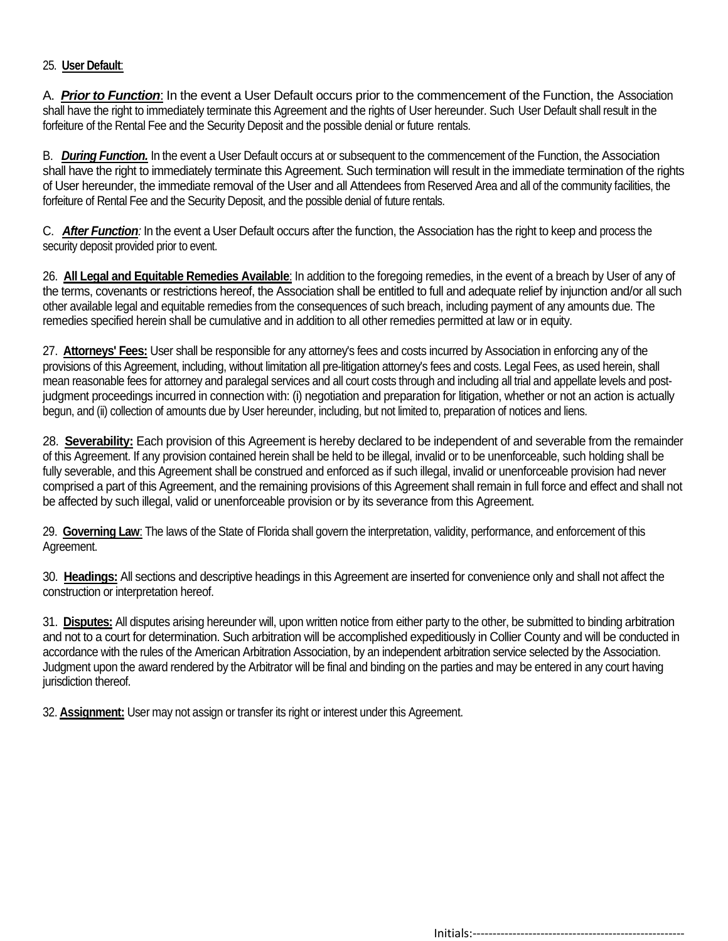#### 25. **User Default**:

A. *Prior to Function*: In the event a User Default occurs prior to the commencement of the Function, the Association shall have the right to immediately terminate this Agreement and the rights of User hereunder. Such User Default shall result in the forfeiture of the Rental Fee and the Security Deposit and the possible denial or future rentals.

B. *During Function.* In the event a User Default occurs at or subsequent to the commencement of the Function, the Association shall have the right to immediately terminate this Agreement. Such termination will result in the immediate termination of the rights of User hereunder, the immediate removal of the User and all Attendees from Reserved Area and all of the community facilities, the forfeiture of Rental Fee and the Security Deposit, and the possible denial of future rentals.

C. *After Function:* In the event a User Default occurs after the function, the Association has the right to keep and process the security deposit provided prior to event.

26. **All Legal and Equitable Remedies Available**: In addition to the foregoing remedies, in the event of a breach by User of any of the terms, covenants or restrictions hereof, the Association shall be entitled to full and adequate relief by injunction and/or all such other available legal and equitable remedies from the consequences of such breach, including payment of any amounts due. The remedies specified herein shall be cumulative and in addition to all other remedies permitted at law or in equity.

27. **Attorneys' Fees:** User shall be responsible for any attorney's fees and costs incurred by Association in enforcing any of the provisions of this Agreement, including, without limitation all pre-litigation attorney's fees and costs. Legal Fees, as used herein, shall mean reasonable fees for attorney and paralegal services and all court costs through and including all trial and appellate levels and postjudgment proceedings incurred in connection with: (i) negotiation and preparation for litigation, whether or not an action is actually begun, and (ii) collection of amounts due by User hereunder, including, but not limited to, preparation of notices and liens.

28. **Severability:** Each provision of this Agreement is hereby declared to be independent of and severable from the remainder of this Agreement. If any provision contained herein shall be held to be illegal, invalid or to be unenforceable, such holding shall be fully severable, and this Agreement shall be construed and enforced as if such illegal, invalid or unenforceable provision had never comprised a part of this Agreement, and the remaining provisions of this Agreement shall remain in full force and effect and shall not be affected by such illegal, valid or unenforceable provision or by its severance from this Agreement.

29. **Governing Law**: The laws of the State of Florida shall govern the interpretation, validity, performance, and enforcement of this Agreement.

30. **Headings:** All sections and descriptive headings in this Agreement are inserted for convenience only and shall not affect the construction or interpretation hereof.

31. **Disputes:** All disputes arising hereunder will, upon written notice from either party to the other, be submitted to binding arbitration and not to a court for determination. Such arbitration will be accomplished expeditiously in Collier County and will be conducted in accordance with the rules of the American Arbitration Association, by an independent arbitration service selected by the Association. Judgment upon the award rendered by the Arbitrator will be final and binding on the parties and may be entered in any court having jurisdiction thereof.

32. **Assignment:** User may not assign or transfer its right or interest under this Agreement.